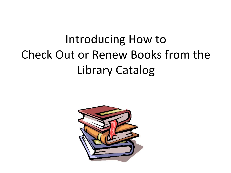# Introducing How to Check Out or Renew Books from the Library Catalog

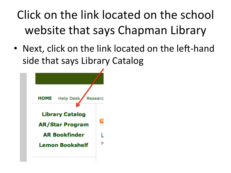# Click on the link located on the school website that says Chapman Library

• Next, click on the link located on the left-hand side that says Library Catalog

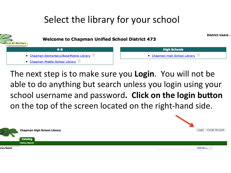#### Select the library for your school



The next step is to make sure you **Login**. You will not be able to do anything but search unless you login using your school username and password. Click on the login button on the top of the screen located on the right-hand side.



How do  $\overline{I...}$  ?



brarv Search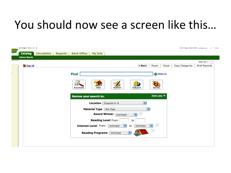## You should now see a screen like this...

| wrom precedent and no |                                      |                        |                                     |                                |                        |                        |                                       |        | <b>CONTRACT WARRANTED CONTRACT</b> |                      | <b>Construction</b> |
|-----------------------|--------------------------------------|------------------------|-------------------------------------|--------------------------------|------------------------|------------------------|---------------------------------------|--------|------------------------------------|----------------------|---------------------|
| <b>Catalog</b>        | <b>Circulation</b><br><b>Reports</b> | <b>Back Office</b>     | <b>My Info</b>                      |                                |                        |                        |                                       |        |                                    |                      |                     |
| <b>Library Search</b> |                                      |                        |                                     |                                |                        |                        |                                       |        |                                    |                      |                     |
|                       |                                      |                        |                                     |                                |                        |                        |                                       |        |                                    | How do I $\boxed{?}$ |                     |
| <b>重Top 10</b>        |                                      |                        |                                     |                                |                        | <b>Basic</b>           | Power                                 | Visual | <b>Copy Categories</b>             | <b>Brief Records</b> |                     |
|                       |                                      |                        |                                     |                                |                        |                        |                                       |        |                                    |                      |                     |
|                       |                                      | <b>Find</b>            |                                     |                                |                        |                        | Reset All                             |        |                                    |                      |                     |
|                       |                                      |                        |                                     |                                |                        |                        |                                       |        |                                    |                      |                     |
|                       |                                      |                        | <b>TN</b>                           |                                | $\mathbf{s}$           |                        | 6                                     |        |                                    |                      |                     |
|                       |                                      | Ø                      | Title                               | X<br>Author                    |                        |                        |                                       |        |                                    |                      |                     |
|                       |                                      | Keyword                |                                     |                                | <b>Subject</b>         |                        | <b>Series</b>                         |        |                                    |                      |                     |
|                       |                                      |                        |                                     |                                |                        |                        |                                       |        |                                    |                      |                     |
|                       |                                      | Narrow your search to: |                                     |                                |                        |                        | Show Less A                           |        |                                    |                      |                     |
|                       |                                      |                        | Location [ Chapman K-8              |                                |                        | $\left  \cdot \right $ |                                       |        |                                    |                      |                     |
|                       |                                      |                        |                                     |                                |                        |                        |                                       |        |                                    |                      |                     |
|                       |                                      |                        | Material Type Any Type              |                                |                        | Ð                      |                                       |        |                                    |                      |                     |
|                       |                                      |                        |                                     | <b>Award Winner </b> Unlimited | <b>DE</b>              |                        |                                       |        |                                    |                      |                     |
|                       |                                      |                        | <b>Reading Level From</b>           |                                | to                     |                        |                                       |        |                                    |                      |                     |
|                       |                                      |                        | <b>Interest Level</b> From          | Unlimited                      | ÷۱<br>to               | Unlimited              | Ţ.<br>$\left  \frac{1}{\tau} \right $ |        |                                    |                      |                     |
|                       |                                      |                        | <b>Reading Programs [ Unlimited</b> |                                | $\left  \cdot \right $ |                        | C                                     |        |                                    |                      |                     |
|                       |                                      |                        |                                     |                                |                        |                        |                                       |        |                                    |                      |                     |
|                       |                                      |                        |                                     |                                |                        |                        |                                       |        |                                    |                      |                     |
|                       |                                      |                        |                                     |                                |                        |                        |                                       |        |                                    |                      |                     |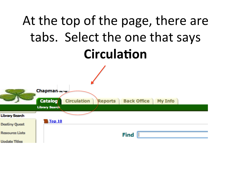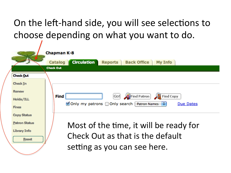## On the left-hand side, you will see selections to choose depending on what you want to do.

|                      | <b>Chapman K-8</b>                                                                      |
|----------------------|-----------------------------------------------------------------------------------------|
|                      | <b>Circulation</b><br><b>Back Office</b><br><b>Reports</b><br><b>My Info</b><br>Catalog |
|                      | <b>Check Out</b>                                                                        |
| <b>Check Out</b>     |                                                                                         |
| Check In             |                                                                                         |
| <b>Renew</b>         |                                                                                         |
| Holds/ILL            | Find Patron<br>Find<br>Go!<br><b>Find Copy</b>                                          |
| <b>Fines</b>         | ■ Only my patrons □ Only search   Patron Names<br>Due Dates                             |
| <b>Copy Status</b>   |                                                                                         |
| <b>Patron Status</b> | Most of the time, it will be ready for                                                  |
| <b>Library Info</b>  |                                                                                         |
| <b>Reset</b>         | Check Out as that is the default                                                        |
|                      | setting as you can see here.                                                            |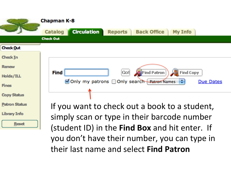

(student ID) in the Find Box and hit enter. If you don't have their number, you can type in their last name and select **Find Patron**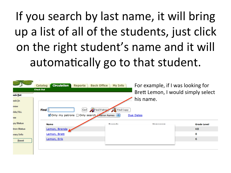If you search by last name, it will bring up a list of all of the students, just click on the right student's name and it will automatically go to that student.

|                 | <b>Circulation</b><br><b>Back Office</b><br><b>Reports</b><br>Catalog | <b>My Info</b>     | For example, if I was looking for  |                    |  |  |
|-----------------|-----------------------------------------------------------------------|--------------------|------------------------------------|--------------------|--|--|
| eck <u>O</u> ut | <b>Check Out</b>                                                      |                    | Brett Lemon, I would simply select |                    |  |  |
| edk In          |                                                                       |                    | his name.                          |                    |  |  |
| new             |                                                                       |                    |                                    |                    |  |  |
| Ids/ILL         | Find Copy<br><b>Find</b><br> Go! <br><b>Find Patrop</b>               |                    |                                    |                    |  |  |
| es              | ■ Only my patrons and Only search Patron Names<br>Due Dates           |                    |                                    |                    |  |  |
| py Status       | <b>Name</b>                                                           | <b>Beautiful A</b> | <b><i>Line and a man a man</i></b> | <b>Grade Level</b> |  |  |
| tron Status     | Lemon, Brenda                                                         |                    |                                    | K <sub>8</sub>     |  |  |
| ohny Info       | Lemon, Brett                                                          |                    |                                    | 8                  |  |  |
| <b>Reset</b>    | Lemon, Erik                                                           |                    |                                    | 6                  |  |  |
|                 |                                                                       |                    |                                    |                    |  |  |
|                 |                                                                       |                    |                                    |                    |  |  |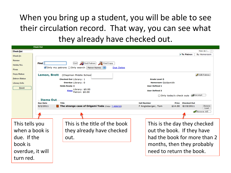#### When you bring up a student, you will be able to see their circulation record. That way, you can see what they already have checked out.

|                      | <b>Check Out</b>    |                                                                                               |                                                             |
|----------------------|---------------------|-----------------------------------------------------------------------------------------------|-------------------------------------------------------------|
| <b>Check Out</b>     |                     |                                                                                               | How do I $\boxed{?}$                                        |
| <b>Check In</b>      |                     |                                                                                               | To Patron<br>By Homeroom                                    |
| <b>Renew</b>         |                     |                                                                                               |                                                             |
| Holds/ILL            | Find                | Find Copy<br>Find Patron<br> Go!                                                              |                                                             |
| <b>Fines</b>         |                     | $\blacksquare$ Only my patrons $\Box$ Only search Patron Names $\ddagger$<br><b>Due Dates</b> |                                                             |
| <b>Copy Status</b>   |                     |                                                                                               |                                                             |
| <b>Patron Status</b> | <b>Lemon, Brett</b> | (Chapman Middle School                                                                        | <mark>∕</mark> Edit Patron                                  |
| <b>Library Info</b>  |                     | Checked Out Library: 1<br>Overdue Library: 0                                                  | <b>Grade Level 8</b><br><b>Homeroom Goldsmith</b>           |
|                      |                     | <b>Holds Ready 0</b>                                                                          | <b>User Defined 1</b>                                       |
| <b>Reset</b>         |                     | Library: $$0.00$<br><b>Fines</b>                                                              | <b>User Defined 2</b>                                       |
|                      |                     | Patron: \$0.00                                                                                | □ Only today's check outs <a> Receipt</a>                   |
|                      | - Items Out         |                                                                                               |                                                             |
|                      | <b>Due Date</b>     | <b>Title</b>                                                                                  | <b>Call Number</b><br><b>Price</b> Checked Out              |
|                      | 9/2/2011            | The strange case of Origami Yoda (Copy: T 4006725)                                            | Renew<br>F Angleberger, Tom<br>8/19/2011<br>\$14.00<br>Lost |
|                      |                     |                                                                                               | <b>Renew All</b>                                            |
|                      |                     |                                                                                               |                                                             |
|                      |                     |                                                                                               |                                                             |
| This tells you       |                     | This is the title of the book                                                                 | This is the day they checked                                |
| when a book is       |                     | they already have checked                                                                     | out the book. If they have                                  |
|                      |                     |                                                                                               |                                                             |
| due. If the          |                     | out.                                                                                          | had the book for more than 2                                |
| book is              |                     |                                                                                               |                                                             |
|                      |                     |                                                                                               | months, then they probably                                  |
| overdue, it will     |                     |                                                                                               | need to return the book.                                    |
|                      |                     |                                                                                               |                                                             |
| turn red.            |                     |                                                                                               |                                                             |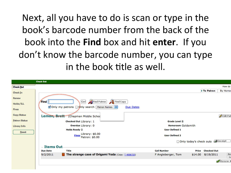Next, all you have to do is scan or type in the book's barcode number from the back of the book into the **Find** box and hit **enter**. If you don't know the barcode number, you can type in the book title as well.

|                      | <b>Check Out</b> |                                                           |                           |                                           |
|----------------------|------------------|-----------------------------------------------------------|---------------------------|-------------------------------------------|
| Check Out            |                  |                                                           |                           | How do                                    |
| Check In             |                  |                                                           |                           | To Patron<br>By Homer                     |
| <b>Renew</b>         |                  |                                                           |                           |                                           |
| Holds/ILL            | Find             | Find Copy<br>Find Patron<br>Go!                           |                           |                                           |
| <b>Fines</b>         |                  | Ø Only my patrons and your search [<br>Patron Names       | <b>Due Dates</b>          |                                           |
| <b>Copy Status</b>   |                  | Lemon, Brett (Chapman Middle Schoo                        |                           | <b>Z</b> Edit Pat                         |
| <b>Patron Status</b> |                  | Checked Out Library: 1                                    | <b>Grade Level 8</b>      |                                           |
| <b>Library Info</b>  |                  | Overdue Library: 0                                        | <b>Homeroom Goldsmith</b> |                                           |
|                      |                  | <b>Holds Ready 0</b>                                      | <b>User Defined 1</b>     |                                           |
| <b>Reset</b>         |                  | Library: \$0.00<br><b>Fines</b><br>Patron: \$0.00         | <b>User Defined 2</b>     |                                           |
|                      |                  |                                                           |                           | □ Only today's check outs <a> Receipt</a> |
|                      | - Items Out-     |                                                           |                           |                                           |
|                      | <b>Due Date</b>  | Title                                                     | <b>Call Number</b>        | <b>Checked Out</b><br>Price               |
|                      | 9/2/2011         | The strange case of Origami Yoda (Copy: T 4006725)<br>TE. | F Angleberger, Tom        | Re<br>8/19/2011<br>\$14.00<br>Lo          |
|                      |                  |                                                           |                           | <b>N</b> Renew A                          |
|                      |                  |                                                           |                           |                                           |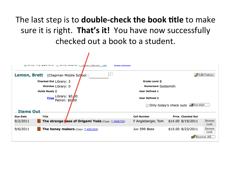#### The last step is to **double-check the book title** to make sure it is right. That's it! You have now successfully checked out a book to a student.

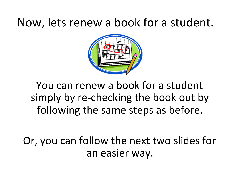## Now, lets renew a book for a student.



You can renew a book for a student simply by re-checking the book out by following the same steps as before.

Or, you can follow the next two slides for an easier way.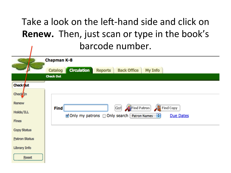### Take a look on the left-hand side and click on **Renew.** Then, just scan or type in the book's barcode number.

|                            | <b>Chapman K-8</b>                                                                                                        |
|----------------------------|---------------------------------------------------------------------------------------------------------------------------|
|                            | <b>Circulation</b><br><b>Back Office</b><br>My Info<br><b>Reports</b><br>Catalog                                          |
|                            | <b>Check Out</b>                                                                                                          |
| Check Out                  |                                                                                                                           |
| <b>Check</b> <sub>In</sub> |                                                                                                                           |
| <b>Renew</b>               |                                                                                                                           |
| <b>Holds/ILL</b>           | Find Patron<br>Find Copy<br><b>Find</b><br>Go!<br>Ø Only my patrons □ Only search [ Patron Names<br>÷<br><b>Due Dates</b> |
| <b>Fines</b>               |                                                                                                                           |
| <b>Copy Status</b>         |                                                                                                                           |
| <b>Patron Status</b>       |                                                                                                                           |
| <b>Library Info</b>        |                                                                                                                           |
| <b>Reset</b>               |                                                                                                                           |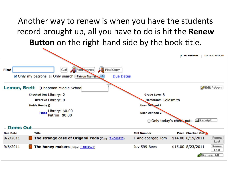#### Another way to renew is when you have the students record brought up, all you have to do is hit the Renew **Button** on the right-hand side by the book title.